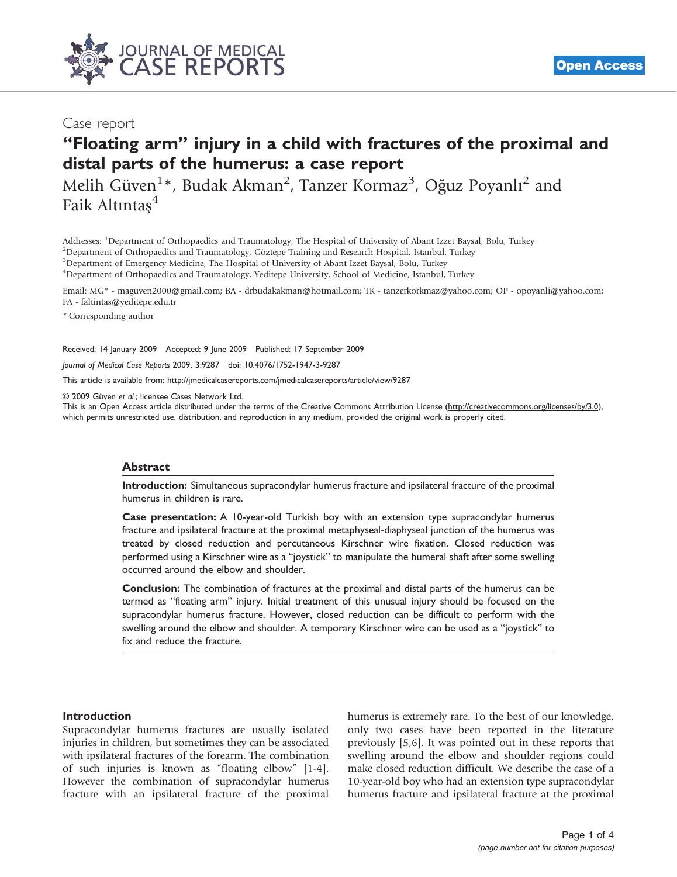

# Case report

# "Floating arm" injury in a child with fractures of the proximal and distal parts of the humerus: a case report

Melih Güven<sup>1</sup>\*, Budak Akman<sup>2</sup>, Tanzer Kormaz<sup>3</sup>, Oğuz Poyanlı<sup>2</sup> and<br>Faik Altıntas<sup>4</sup> Faik Altıntaş<sup>4</sup>

Addresses: <sup>1</sup>Department of Orthopaedics and Traumatology, The Hospital of University of Abant Izzet Baysal, Bolu, Turkey<br><sup>2</sup>Department of Orthopaedics and Traumatology, Cöztene Training and Besearch Hospital, Istanbul, Tu

<sup>2</sup>Department of Orthopaedics and Traumatology, Göztepe Training and Research Hospital, Istanbul, Turkey

<sup>3</sup>Department of Emergency Medicine, The Hospital of University of Abant Izzet Baysal, Bolu, Turkey

4 Department of Orthopaedics and Traumatology, Yeditepe University, School of Medicine, Istanbul, Turkey

Email: MG\* - [maguven2000@gmail.com](mailto:maguven2000@gmail.com); BA - [drbudakakman@hotmail.com](mailto:drbudakakman@hotmail.com); TK - [tanzerkorkmaz@yahoo.com](mailto:tanzerkorkmaz@yahoo.com); OP - [opoyanli@yahoo.com](mailto:opoyanli@yahoo.com); FA - [faltintas@yeditepe.edu.tr](mailto:faltintas@yeditepe.edu.tr)

\* Corresponding author

Received: 14 January 2009 Accepted: 9 June 2009 Published: 17 September 2009

Journal of Medical Case Reports 2009, 3:9287 doi: 10.4076/1752-1947-3-9287

This article is available from:<http://jmedicalcasereports.com/jmedicalcasereports/article/view/9287>

© 2009 Güven et al.; licensee Cases Network Ltd.

This is an Open Access article distributed under the terms of the Creative Commons Attribution License [\(http://creativecommons.org/licenses/by/3.0\)](http://creativecommons.org/licenses/by/3.0), which permits unrestricted use, distribution, and reproduction in any medium, provided the original work is properly cited.

#### **Abstract**

Introduction: Simultaneous supracondylar humerus fracture and ipsilateral fracture of the proximal humerus in children is rare.

Case presentation: A 10-year-old Turkish boy with an extension type supracondylar humerus fracture and ipsilateral fracture at the proximal metaphyseal-diaphyseal junction of the humerus was treated by closed reduction and percutaneous Kirschner wire fixation. Closed reduction was performed using a Kirschner wire as a "joystick" to manipulate the humeral shaft after some swelling occurred around the elbow and shoulder.

Conclusion: The combination of fractures at the proximal and distal parts of the humerus can be termed as "floating arm" injury. Initial treatment of this unusual injury should be focused on the supracondylar humerus fracture. However, closed reduction can be difficult to perform with the swelling around the elbow and shoulder. A temporary Kirschner wire can be used as a "joystick" to fix and reduce the fracture.

### **Introduction**

Supracondylar humerus fractures are usually isolated injuries in children, but sometimes they can be associated with ipsilateral fractures of the forearm. The combination of such injuries is known as "floating elbow" [\[1](#page-2-0)-[4\]](#page-2-0). However the combination of supracondylar humerus fracture with an ipsilateral fracture of the proximal

humerus is extremely rare. To the best of our knowledge, only two cases have been reported in the literature previously [[5,6\]](#page-2-0). It was pointed out in these reports that swelling around the elbow and shoulder regions could make closed reduction difficult. We describe the case of a 10-year-old boy who had an extension type supracondylar humerus fracture and ipsilateral fracture at the proximal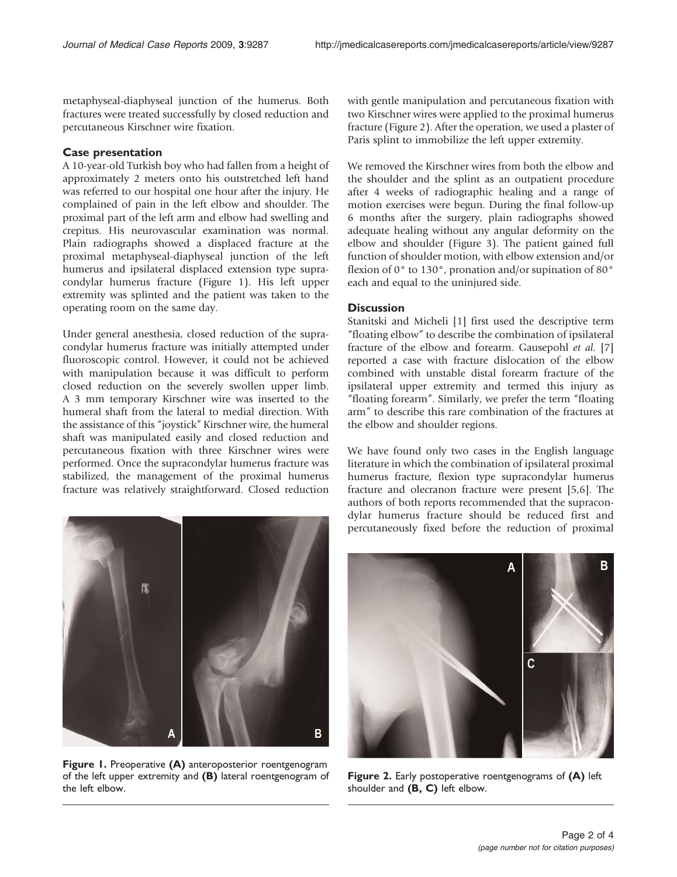metaphyseal-diaphyseal junction of the humerus. Both fractures were treated successfully by closed reduction and percutaneous Kirschner wire fixation.

#### Case presentation

A 10-year-old Turkish boy who had fallen from a height of approximately 2 meters onto his outstretched left hand was referred to our hospital one hour after the injury. He complained of pain in the left elbow and shoulder. The proximal part of the left arm and elbow had swelling and crepitus. His neurovascular examination was normal. Plain radiographs showed a displaced fracture at the proximal metaphyseal-diaphyseal junction of the left humerus and ipsilateral displaced extension type supracondylar humerus fracture (Figure 1). His left upper extremity was splinted and the patient was taken to the operating room on the same day.

Under general anesthesia, closed reduction of the supracondylar humerus fracture was initially attempted under fluoroscopic control. However, it could not be achieved with manipulation because it was difficult to perform closed reduction on the severely swollen upper limb. A 3 mm temporary Kirschner wire was inserted to the humeral shaft from the lateral to medial direction. With the assistance of this "joystick" Kirschner wire, the humeral shaft was manipulated easily and closed reduction and percutaneous fixation with three Kirschner wires were performed. Once the supracondylar humerus fracture was stabilized, the management of the proximal humerus fracture was relatively straightforward. Closed reduction



Figure 1. Preoperative (A) anteroposterior roentgenogram of the left upper extremity and (B) lateral roentgenogram of the left elbow.

with gentle manipulation and percutaneous fixation with two Kirschner wires were applied to the proximal humerus fracture (Figure 2). After the operation, we used a plaster of Paris splint to immobilize the left upper extremity.

We removed the Kirschner wires from both the elbow and the shoulder and the splint as an outpatient procedure after 4 weeks of radiographic healing and a range of motion exercises were begun. During the final follow-up 6 months after the surgery, plain radiographs showed adequate healing without any angular deformity on the elbow and shoulder ([Figure 3](#page-2-0)). The patient gained full function of shoulder motion, with elbow extension and/or flexion of 0° to 130°, pronation and/or supination of 80° each and equal to the uninjured side.

# **Discussion**

Stanitski and Micheli [\[1\]](#page-2-0) first used the descriptive term "floating elbow" to describe the combination of ipsilateral fracture of the elbow and forearm. Gausepohl et al. [[7](#page-2-0)] reported a case with fracture dislocation of the elbow combined with unstable distal forearm fracture of the ipsilateral upper extremity and termed this injury as "floating forearm". Similarly, we prefer the term "floating arm" to describe this rare combination of the fractures at the elbow and shoulder regions.

We have found only two cases in the English language literature in which the combination of ipsilateral proximal humerus fracture, flexion type supracondylar humerus fracture and olecranon fracture were present [[5,6\]](#page-2-0). The authors of both reports recommended that the supracondylar humerus fracture should be reduced first and percutaneously fixed before the reduction of proximal



Figure 2. Early postoperative roentgenograms of (A) left shoulder and (B, C) left elbow.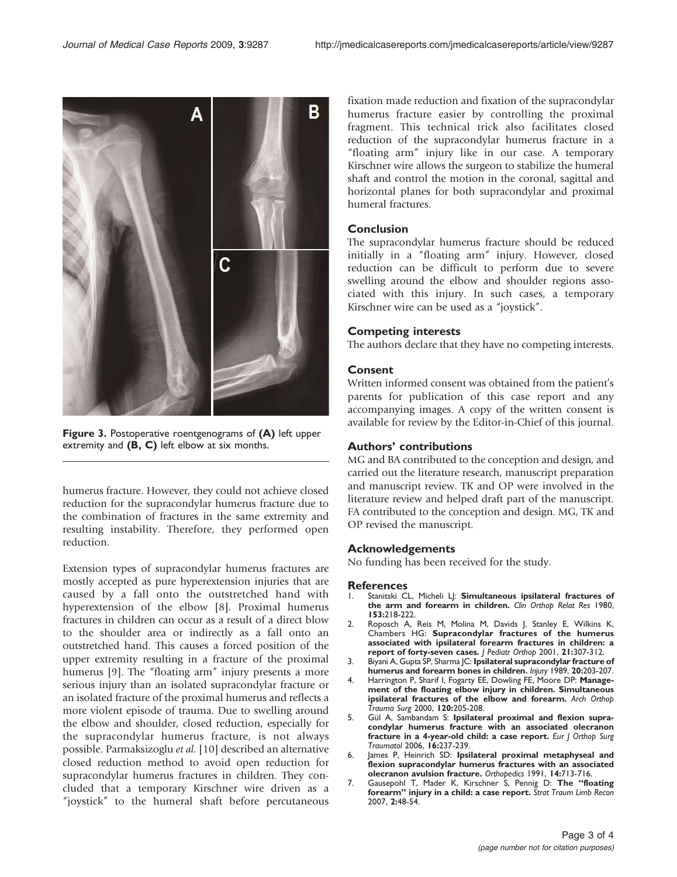<span id="page-2-0"></span>

Figure 3. Postoperative roentgenograms of (A) left upper extremity and (B, C) left elbow at six months.

humerus fracture. However, they could not achieve closed reduction for the supracondylar humerus fracture due to the combination of fractures in the same extremity and resulting instability. Therefore, they performed open reduction.

Extension types of supracondylar humerus fractures are mostly accepted as pure hyperextension injuries that are caused by a fall onto the outstretched hand with hyperextension of the elbow [[8](#page-3-0)]. Proximal humerus fractures in children can occur as a result of a direct blow to the shoulder area or indirectly as a fall onto an outstretched hand. This causes a forced position of the upper extremity resulting in a fracture of the proximal humerus [[9](#page-3-0)]. The "floating arm" injury presents a more serious injury than an isolated supracondylar fracture or an isolated fracture of the proximal humerus and reflects a more violent episode of trauma. Due to swelling around the elbow and shoulder, closed reduction, especially for the supracondylar humerus fracture, is not always possible. Parmaksizoglu et al. [\[10](#page-3-0)] described an alternative closed reduction method to avoid open reduction for supracondylar humerus fractures in children. They concluded that a temporary Kirschner wire driven as a "joystick" to the humeral shaft before percutaneous

fixation made reduction and fixation of the supracondylar humerus fracture easier by controlling the proximal fragment. This technical trick also facilitates closed reduction of the supracondylar humerus fracture in a "floating arm" injury like in our case. A temporary Kirschner wire allows the surgeon to stabilize the humeral shaft and control the motion in the coronal, sagittal and horizontal planes for both supracondylar and proximal humeral fractures.

## Conclusion

The supracondylar humerus fracture should be reduced initially in a "floating arm" injury. However, closed reduction can be difficult to perform due to severe swelling around the elbow and shoulder regions associated with this injury. In such cases, a temporary Kirschner wire can be used as a "joystick".

#### Competing interests

The authors declare that they have no competing interests.

#### Consent

Written informed consent was obtained from the patient's parents for publication of this case report and any accompanying images. A copy of the written consent is available for review by the Editor-in-Chief of this journal.

## Authors' contributions

MG and BA contributed to the conception and design, and carried out the literature research, manuscript preparation and manuscript review. TK and OP were involved in the literature review and helped draft part of the manuscript. FA contributed to the conception and design. MG, TK and OP revised the manuscript.

#### Acknowledgements

No funding has been received for the study.

#### References

- Stanitski CL, Micheli LJ: Simultaneous ipsilateral fractures of the arm and forearm in children. Clin Orthop Relat Res 1980, 153:218-222.
- 2. Roposch A, Reis M, Molina M, Davids J, Stanley E, Wilkins K, Chambers HG: Supracondylar fractures of the humerus associated with ipsilateral forearm fractures in children: a report of forty-seven cases. J Pediatr Orthop 2001, 21:307-312.
- 3. Biyani A, Gupta SP, Sharma JC: Ipsilateral supracondylar fracture of humerus and forearm bones in children. Injury 1989, 20:203-207.
- 4. Harrington P, Sharif I, Fogarty EE, Dowling FE, Moore DP: Management of the floating elbow injury in children. Simultaneous ipsilateral fractures of the elbow and forearm. Arch Orthop Trauma Surg 2000, 120:205-208.
- 5. Gül A, Sambandam S: Ipsilateral proximal and flexion supracondylar humerus fracture with an associated olecranon fracture in a 4-year-old child: a case report. Eur | Orthop Surg Traumatol 2006, 16:237-239.
- 6. James P, Heinrich SD: Ipsilateral proximal metaphyseal and flexion supracondylar humerus fractures with an associated olecranon avulsion fracture. Orthopedics 1991, 14:713-716.
- 7. Gausepohl T, Mader K, Kirschner S, Pennig D: The "floating forearm" injury in a child: a case report. Strat Traum Limb Recon 2007, 2:48-54.